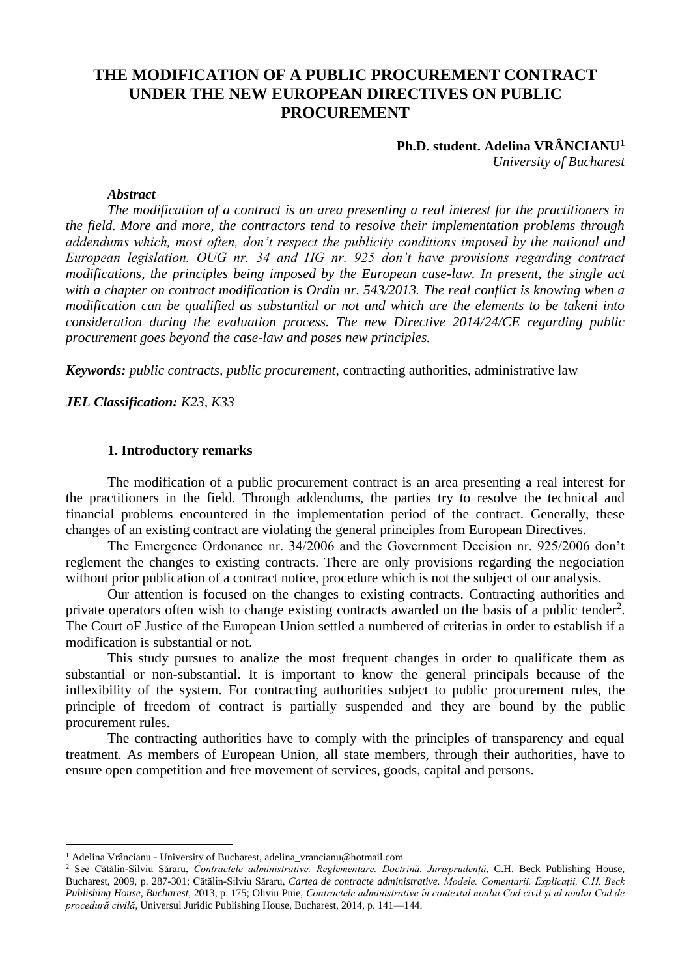# **THE MODIFICATION OF A PUBLIC PROCUREMENT CONTRACT UNDER THE NEW EUROPEAN DIRECTIVES ON PUBLIC PROCUREMENT**

## **Ph.D. student. Adelina VRÂNCIANU<sup>1</sup>** *University of Bucharest*

#### *Abstract*

*The modification of a contract is an area presenting a real interest for the practitioners in the field. More and more, the contractors tend to resolve their implementation problems through addendums which, most often, don't respect the publicity conditions imposed by the national and European legislation. OUG nr. 34 and HG nr. 925 don't have provisions regarding contract modifications, the principles being imposed by the European case-law. In present, the single act with a chapter on contract modification is Ordin nr. 543/2013. The real conflict is knowing when a modification can be qualified as substantial or not and which are the elements to be takeni into consideration during the evaluation process. The new Directive 2014/24/CE regarding public procurement goes beyond the case-law and poses new principles.*

*Keywords: public contracts, public procurement*, contracting authorities, administrative law

*JEL Classification: K23, K33*

### **1. Introductory remarks**

The modification of a public procurement contract is an area presenting a real interest for the practitioners in the field. Through addendums, the parties try to resolve the technical and financial problems encountered in the implementation period of the contract. Generally, these changes of an existing contract are violating the general principles from European Directives.

The Emergence Ordonance nr. 34/2006 and the Government Decision nr. 925/2006 don't reglement the changes to existing contracts. There are only provisions regarding the negociation without prior publication of a contract notice, procedure which is not the subject of our analysis.

Our attention is focused on the changes to existing contracts. Contracting authorities and private operators often wish to change existing contracts awarded on the basis of a public tender<sup>2</sup>. The Court oF Justice of the European Union settled a numbered of criterias in order to establish if a modification is substantial or not.

This study pursues to analize the most frequent changes in order to qualificate them as substantial or non-substantial. It is important to know the general principals because of the inflexibility of the system. For contracting authorities subject to public procurement rules, the principle of freedom of contract is partially suspended and they are bound by the public procurement rules.

The contracting authorities have to comply with the principles of transparency and equal treatment. As members of European Union, all state members, through their authorities, have to ensure open competition and free movement of services, goods, capital and persons.

1

<sup>1</sup> Adelina Vrâncianu **-** University of Bucharest, adelina\_vrancianu@hotmail.com

<sup>2</sup> See Cătălin-Silviu Săraru, *Contractele administrative. Reglementare. Doctrină. Jurisprudență*, C.H. Beck Publishing House, Bucharest, 2009, p. 287-301; Cătălin-Silviu Săraru, *Cartea de contracte administrative. Modele. Comentarii. Explicații, C.H. Beck Publishing House, Bucharest*, 2013, p. 175; Oliviu Puie, *Contractele administrative în contextul noului Cod civil și al noului Cod de procedură civilă*, Universul Juridic Publishing House, Bucharest, 2014, p. 141—144.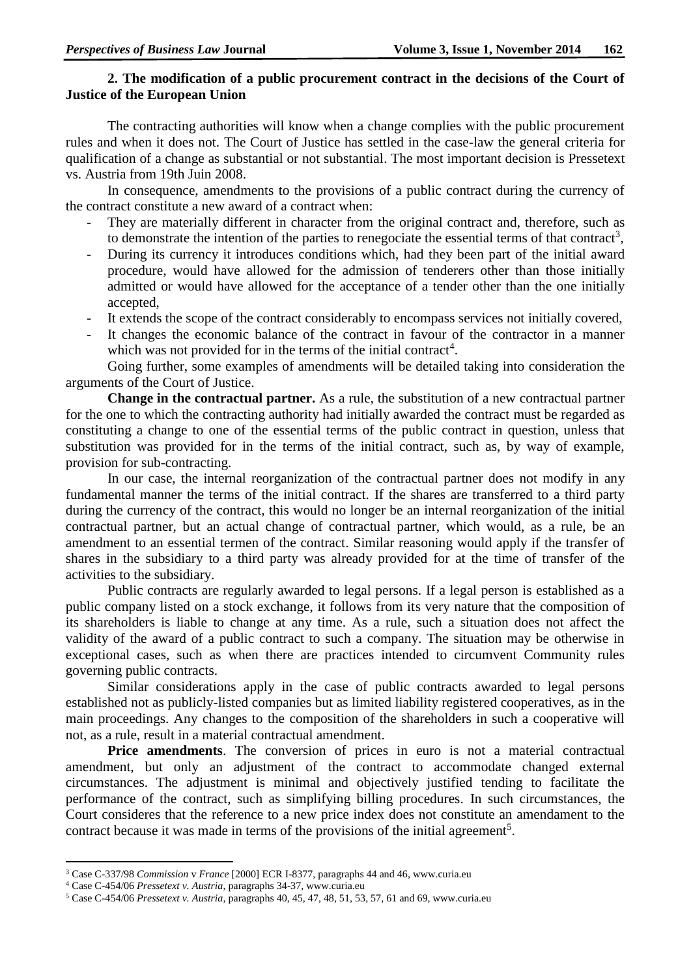## **2. The modification of a public procurement contract in the decisions of the Court of Justice of the European Union**

The contracting authorities will know when a change complies with the public procurement rules and when it does not. The Court of Justice has settled in the case-law the general criteria for qualification of a change as substantial or not substantial. The most important decision is Pressetext vs. Austria from 19th Juin 2008.

In consequence, amendments to the provisions of a public contract during the currency of the contract constitute a new award of a contract when:

- They are materially different in character from the original contract and, therefore, such as to demonstrate the intention of the parties to renegociate the essential terms of that contract<sup>3</sup>,
- During its currency it introduces conditions which, had they been part of the initial award procedure, would have allowed for the admission of tenderers other than those initially admitted or would have allowed for the acceptance of a tender other than the one initially accepted,
- It extends the scope of the contract considerably to encompass services not initially covered,
- It changes the economic balance of the contract in favour of the contractor in a manner which was not provided for in the terms of the initial contract<sup>4</sup>.

Going further, some examples of amendments will be detailed taking into consideration the arguments of the Court of Justice.

**Change in the contractual partner.** As a rule, the substitution of a new contractual partner for the one to which the contracting authority had initially awarded the contract must be regarded as constituting a change to one of the essential terms of the public contract in question, unless that substitution was provided for in the terms of the initial contract, such as, by way of example, provision for sub-contracting.

In our case, the internal reorganization of the contractual partner does not modify in any fundamental manner the terms of the initial contract. If the shares are transferred to a third party during the currency of the contract, this would no longer be an internal reorganization of the initial contractual partner, but an actual change of contractual partner, which would, as a rule, be an amendment to an essential termen of the contract. Similar reasoning would apply if the transfer of shares in the subsidiary to a third party was already provided for at the time of transfer of the activities to the subsidiary.

Public contracts are regularly awarded to legal persons. If a legal person is established as a public company listed on a stock exchange, it follows from its very nature that the composition of its shareholders is liable to change at any time. As a rule, such a situation does not affect the validity of the award of a public contract to such a company. The situation may be otherwise in exceptional cases, such as when there are practices intended to circumvent Community rules governing public contracts.

Similar considerations apply in the case of public contracts awarded to legal persons established not as publicly-listed companies but as limited liability registered cooperatives, as in the main proceedings. Any changes to the composition of the shareholders in such a cooperative will not, as a rule, result in a material contractual amendment.

Price amendments. The conversion of prices in euro is not a material contractual amendment, but only an adjustment of the contract to accommodate changed external circumstances. The adjustment is minimal and objectively justified tending to facilitate the performance of the contract, such as simplifying billing procedures. In such circumstances, the Court consideres that the reference to a new price index does not constitute an amendament to the contract because it was made in terms of the provisions of the initial agreement<sup>5</sup>.

**.** 

<sup>3</sup> Case C-337/98 *Commission* v *France* [2000] ECR I-8377, paragraphs 44 and 46, www.curia.eu

<sup>4</sup> Case C-454/06 *Pressetext v. Austria*, paragraphs 34-37, www.curia.eu

<sup>5</sup> Case C-454/06 *Pressetext v. Austria*, paragraphs 40, 45, 47, 48, 51, 53, 57, 61 and 69, www.curia.eu